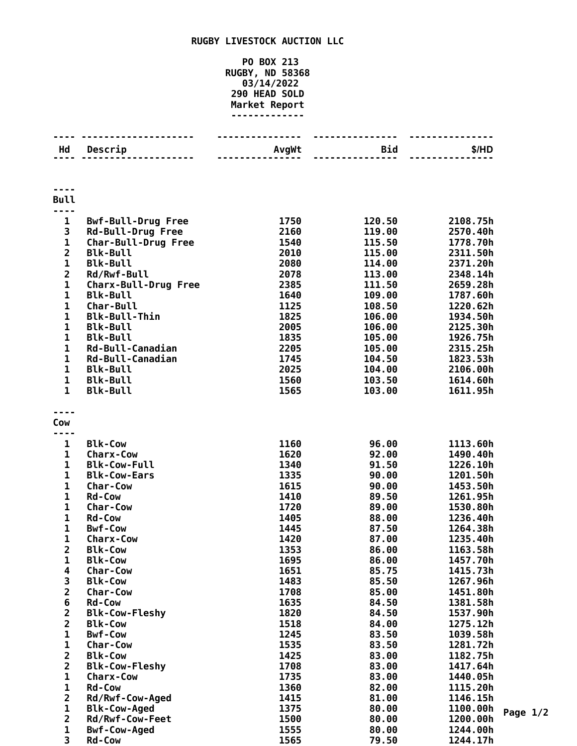## **RUGBY LIVESTOCK AUCTION LLC**

## **PO BOX 213 RUGBY, ND 58368 03/14/2022 HEAD SOLD Market Report**

| Hd                      | Descrip                          | AvgWt | Bid    | \$/HD    |
|-------------------------|----------------------------------|-------|--------|----------|
|                         |                                  |       |        |          |
|                         |                                  |       |        |          |
|                         |                                  |       |        |          |
|                         |                                  |       |        |          |
| <b>Bull</b>             |                                  |       |        |          |
| ----                    |                                  |       |        |          |
| 1                       | <b>Bwf-Bull-Drug Free</b>        | 1750  | 120.50 | 2108.75h |
| 3                       | <b>Rd-Bull-Drug Free</b>         | 2160  | 119.00 | 2570.40h |
| $\mathbf 1$             | <b>Char-Bull-Drug Free</b>       | 1540  | 115.50 | 1778.70h |
| $\overline{2}$          | <b>Blk-Bull</b>                  | 2010  | 115.00 | 2311.50h |
| $\mathbf 1$             | <b>Blk-Bull</b>                  | 2080  | 114.00 | 2371.20h |
| $\overline{\mathbf{2}}$ | Rd/Rwf-Bull                      | 2078  | 113.00 | 2348.14h |
| 1                       | <b>Charx-Bull-Drug Free</b>      | 2385  | 111.50 | 2659.28h |
| $\mathbf{1}$            | <b>Blk-Bull</b>                  | 1640  | 109.00 | 1787.60h |
| $\mathbf{1}$            | <b>Char-Bull</b>                 | 1125  | 108.50 | 1220.62h |
| $\mathbf{1}$            | <b>Blk-Bull-Thin</b>             | 1825  | 106.00 | 1934.50h |
| $\mathbf{1}$            |                                  |       |        |          |
|                         | <b>Blk-Bull</b>                  | 2005  | 106.00 | 2125.30h |
| $\mathbf{1}$            | <b>Blk-Bull</b>                  | 1835  | 105.00 | 1926.75h |
| $\mathbf 1$             | Rd-Bull-Canadian                 | 2205  | 105.00 | 2315.25h |
| $\mathbf 1$             | Rd-Bull-Canadian                 | 1745  | 104.50 | 1823.53h |
| 1                       | <b>Blk-Bull</b>                  | 2025  | 104.00 | 2106.00h |
| $\mathbf{1}$            | <b>Blk-Bull</b>                  | 1560  | 103.50 | 1614.60h |
| $\mathbf{1}$            | <b>Blk-Bull</b>                  | 1565  | 103.00 | 1611.95h |
|                         |                                  |       |        |          |
|                         |                                  |       |        |          |
| Cow                     |                                  |       |        |          |
|                         |                                  |       |        |          |
| 1                       | <b>Blk-Cow</b>                   | 1160  | 96.00  | 1113.60h |
| 1                       | <b>Charx-Cow</b>                 | 1620  | 92.00  | 1490.40h |
| 1                       | <b>Blk-Cow-Full</b>              | 1340  | 91.50  | 1226.10h |
| $\mathbf{1}$            | <b>Blk-Cow-Ears</b>              | 1335  | 90.00  | 1201.50h |
| $\mathbf{1}$            | <b>Char-Cow</b>                  | 1615  | 90.00  | 1453.50h |
| $\mathbf{1}$            | <b>Rd-Cow</b>                    | 1410  | 89.50  | 1261.95h |
| $\mathbf{1}$            | Char-Cow                         | 1720  | 89.00  | 1530.80h |
| $\mathbf{1}$            | <b>Rd-Cow</b>                    | 1405  | 88.00  | 1236.40h |
| 1                       | <b>Bwf-Cow</b>                   | 1445  | 87.50  | 1264.38h |
| 1                       | <b>Charx-Cow</b>                 | 1420  | 87.00  | 1235.40h |
| $\overline{\mathbf{c}}$ | <b>Blk-Cow</b>                   | 1353  | 86.00  | 1163.58h |
| 1                       | <b>Blk-Cow</b>                   | 1695  | 86.00  | 1457.70h |
| 4                       | <b>Char-Cow</b>                  | 1651  | 85.75  | 1415.73h |
| 3                       | <b>Blk-Cow</b>                   | 1483  | 85.50  | 1267.96h |
| $\overline{\mathbf{c}}$ | <b>Char-Cow</b>                  | 1708  | 85.00  | 1451.80h |
| $\bf 6$                 | <b>Rd-Cow</b>                    | 1635  | 84.50  | 1381.58h |
| $\overline{\mathbf{c}}$ | <b>Blk-Cow-Fleshy</b>            | 1820  | 84.50  | 1537.90h |
| $\overline{2}$          |                                  | 1518  | 84.00  | 1275.12h |
|                         | <b>Blk-Cow</b><br><b>Bwf-Cow</b> |       |        |          |
| $\mathbf 1$             |                                  | 1245  | 83.50  | 1039.58h |
| $\mathbf 1$             | Char-Cow                         | 1535  | 83.50  | 1281.72h |
| $\overline{2}$          | <b>Blk-Cow</b>                   | 1425  | 83.00  | 1182.75h |
| $\overline{2}$          | <b>Blk-Cow-Fleshy</b>            | 1708  | 83.00  | 1417.64h |
| $\mathbf 1$             | <b>Charx-Cow</b>                 | 1735  | 83.00  | 1440.05h |
| 1                       | <b>Rd-Cow</b>                    | 1360  | 82.00  | 1115.20h |
| $\overline{\mathbf{c}}$ | Rd/Rwf-Cow-Aged                  | 1415  | 81.00  | 1146.15h |
| 1                       | <b>Blk-Cow-Aged</b>              | 1375  | 80.00  | 1100.00h |
| $\overline{2}$          | Rd/Rwf-Cow-Feet                  | 1500  | 80.00  | 1200.00h |
| 1                       | <b>Bwf-Cow-Aged</b>              | 1555  | 80.00  | 1244.00h |
| 3                       | <b>Rd-Cow</b>                    | 1565  | 79.50  | 1244.17h |

**Page 1/2**